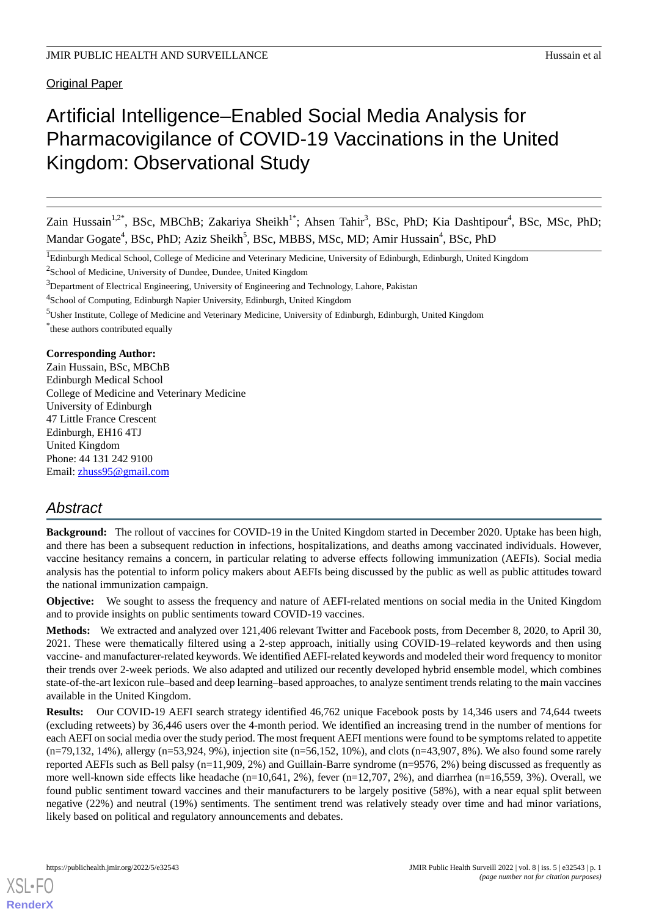**Original Paper** 

# Artificial Intelligence–Enabled Social Media Analysis for Pharmacovigilance of COVID-19 Vaccinations in the United Kingdom: Observational Study

Zain Hussain<sup>1,2\*</sup>, BSc, MBChB; Zakariya Sheikh<sup>1\*</sup>; Ahsen Tahir<sup>3</sup>, BSc, PhD; Kia Dashtipour<sup>4</sup>, BSc, MSc, PhD; Mandar Gogate<sup>4</sup>, BSc, PhD; Aziz Sheikh<sup>5</sup>, BSc, MBBS, MSc, MD; Amir Hussain<sup>4</sup>, BSc, PhD

<sup>1</sup>Edinburgh Medical School, College of Medicine and Veterinary Medicine, University of Edinburgh, Edinburgh, United Kingdom

<sup>2</sup>School of Medicine, University of Dundee, Dundee, United Kingdom

<sup>3</sup>Department of Electrical Engineering, University of Engineering and Technology, Lahore, Pakistan

<sup>4</sup>School of Computing, Edinburgh Napier University, Edinburgh, United Kingdom

<sup>5</sup>Usher Institute, College of Medicine and Veterinary Medicine, University of Edinburgh, Edinburgh, United Kingdom

\* these authors contributed equally

## **Corresponding Author:**

Zain Hussain, BSc, MBChB Edinburgh Medical School College of Medicine and Veterinary Medicine University of Edinburgh 47 Little France Crescent Edinburgh, EH16 4TJ United Kingdom Phone: 44 131 242 9100 Email: [zhuss95@gmail.com](mailto:zhuss95@gmail.com)

## *Abstract*

**Background:** The rollout of vaccines for COVID-19 in the United Kingdom started in December 2020. Uptake has been high, and there has been a subsequent reduction in infections, hospitalizations, and deaths among vaccinated individuals. However, vaccine hesitancy remains a concern, in particular relating to adverse effects following immunization (AEFIs). Social media analysis has the potential to inform policy makers about AEFIs being discussed by the public as well as public attitudes toward the national immunization campaign.

**Objective:** We sought to assess the frequency and nature of AEFI-related mentions on social media in the United Kingdom and to provide insights on public sentiments toward COVID-19 vaccines.

**Methods:** We extracted and analyzed over 121,406 relevant Twitter and Facebook posts, from December 8, 2020, to April 30, 2021. These were thematically filtered using a 2-step approach, initially using COVID-19–related keywords and then using vaccine- and manufacturer-related keywords. We identified AEFI-related keywords and modeled their word frequency to monitor their trends over 2-week periods. We also adapted and utilized our recently developed hybrid ensemble model, which combines state-of-the-art lexicon rule–based and deep learning–based approaches, to analyze sentiment trends relating to the main vaccines available in the United Kingdom.

**Results:** Our COVID-19 AEFI search strategy identified 46,762 unique Facebook posts by 14,346 users and 74,644 tweets (excluding retweets) by 36,446 users over the 4-month period. We identified an increasing trend in the number of mentions for each AEFI on social media over the study period. The most frequent AEFI mentions were found to be symptoms related to appetite (n=79,132, 14%), allergy (n=53,924, 9%), injection site (n=56,152, 10%), and clots (n=43,907, 8%). We also found some rarely reported AEFIs such as Bell palsy (n=11,909, 2%) and Guillain-Barre syndrome (n=9576, 2%) being discussed as frequently as more well-known side effects like headache (n=10,641, 2%), fever (n=12,707, 2%), and diarrhea (n=16,559, 3%). Overall, we found public sentiment toward vaccines and their manufacturers to be largely positive (58%), with a near equal split between negative (22%) and neutral (19%) sentiments. The sentiment trend was relatively steady over time and had minor variations, likely based on political and regulatory announcements and debates.

[XSL](http://www.w3.org/Style/XSL)•FO **[RenderX](http://www.renderx.com/)**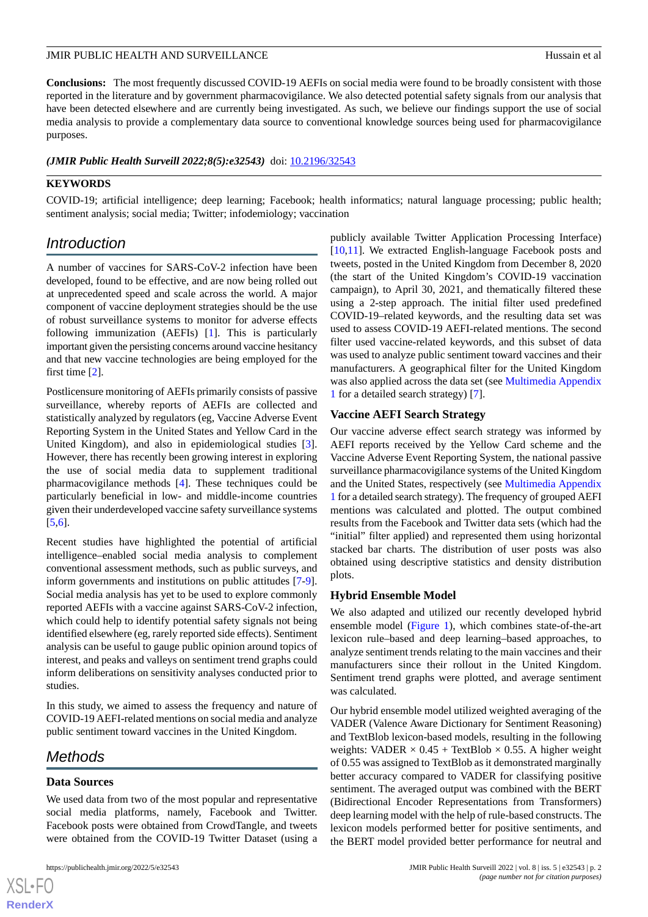**Conclusions:** The most frequently discussed COVID-19 AEFIs on social media were found to be broadly consistent with those reported in the literature and by government pharmacovigilance. We also detected potential safety signals from our analysis that have been detected elsewhere and are currently being investigated. As such, we believe our findings support the use of social media analysis to provide a complementary data source to conventional knowledge sources being used for pharmacovigilance purposes.

*(JMIR Public Health Surveill 2022;8(5):e32543)* doi: [10.2196/32543](http://dx.doi.org/10.2196/32543)

## **KEYWORDS**

COVID-19; artificial intelligence; deep learning; Facebook; health informatics; natural language processing; public health; sentiment analysis; social media; Twitter; infodemiology; vaccination

## *Introduction*

A number of vaccines for SARS-CoV-2 infection have been developed, found to be effective, and are now being rolled out at unprecedented speed and scale across the world. A major component of vaccine deployment strategies should be the use of robust surveillance systems to monitor for adverse effects following immunization (AEFIs) [[1](#page-5-0)]. This is particularly important given the persisting concerns around vaccine hesitancy and that new vaccine technologies are being employed for the first time [\[2\]](#page-6-0).

Postlicensure monitoring of AEFIs primarily consists of passive surveillance, whereby reports of AEFIs are collected and statistically analyzed by regulators (eg, Vaccine Adverse Event Reporting System in the United States and Yellow Card in the United Kingdom), and also in epidemiological studies [[3\]](#page-6-1). However, there has recently been growing interest in exploring the use of social media data to supplement traditional pharmacovigilance methods [[4\]](#page-6-2). These techniques could be particularly beneficial in low- and middle-income countries given their underdeveloped vaccine safety surveillance systems [[5](#page-6-3)[,6](#page-6-4)].

Recent studies have highlighted the potential of artificial intelligence–enabled social media analysis to complement conventional assessment methods, such as public surveys, and inform governments and institutions on public attitudes [\[7-](#page-6-5)[9\]](#page-6-6). Social media analysis has yet to be used to explore commonly reported AEFIs with a vaccine against SARS-CoV-2 infection, which could help to identify potential safety signals not being identified elsewhere (eg, rarely reported side effects). Sentiment analysis can be useful to gauge public opinion around topics of interest, and peaks and valleys on sentiment trend graphs could inform deliberations on sensitivity analyses conducted prior to studies.

In this study, we aimed to assess the frequency and nature of COVID-19 AEFI-related mentions on social media and analyze public sentiment toward vaccines in the United Kingdom.

## *Methods*

## **Data Sources**

We used data from two of the most popular and representative social media platforms, namely, Facebook and Twitter. Facebook posts were obtained from CrowdTangle, and tweets were obtained from the COVID-19 Twitter Dataset (using a

publicly available Twitter Application Processing Interface) [[10,](#page-6-7)[11\]](#page-6-8). We extracted English-language Facebook posts and tweets, posted in the United Kingdom from December 8, 2020 (the start of the United Kingdom's COVID-19 vaccination campaign), to April 30, 2021, and thematically filtered these using a 2-step approach. The initial filter used predefined COVID-19–related keywords, and the resulting data set was used to assess COVID-19 AEFI-related mentions. The second filter used vaccine-related keywords, and this subset of data was used to analyze public sentiment toward vaccines and their manufacturers. A geographical filter for the United Kingdom was also applied across the data set (see [Multimedia Appendix](#page-5-1) [1](#page-5-1) for a detailed search strategy) [\[7](#page-6-5)].

## **Vaccine AEFI Search Strategy**

Our vaccine adverse effect search strategy was informed by AEFI reports received by the Yellow Card scheme and the Vaccine Adverse Event Reporting System, the national passive surveillance pharmacovigilance systems of the United Kingdom and the United States, respectively (see [Multimedia Appendix](#page-5-1) [1](#page-5-1) for a detailed search strategy). The frequency of grouped AEFI mentions was calculated and plotted. The output combined results from the Facebook and Twitter data sets (which had the "initial" filter applied) and represented them using horizontal stacked bar charts. The distribution of user posts was also obtained using descriptive statistics and density distribution plots.

## **Hybrid Ensemble Model**

We also adapted and utilized our recently developed hybrid ensemble model ([Figure 1\)](#page-2-0), which combines state-of-the-art lexicon rule–based and deep learning–based approaches, to analyze sentiment trends relating to the main vaccines and their manufacturers since their rollout in the United Kingdom. Sentiment trend graphs were plotted, and average sentiment was calculated.

Our hybrid ensemble model utilized weighted averaging of the VADER (Valence Aware Dictionary for Sentiment Reasoning) and TextBlob lexicon-based models, resulting in the following weights: VADER  $\times$  0.45 + TextBlob  $\times$  0.55. A higher weight of 0.55 was assigned to TextBlob as it demonstrated marginally better accuracy compared to VADER for classifying positive sentiment. The averaged output was combined with the BERT (Bidirectional Encoder Representations from Transformers) deep learning model with the help of rule-based constructs. The lexicon models performed better for positive sentiments, and the BERT model provided better performance for neutral and

[XSL](http://www.w3.org/Style/XSL)•FO **[RenderX](http://www.renderx.com/)**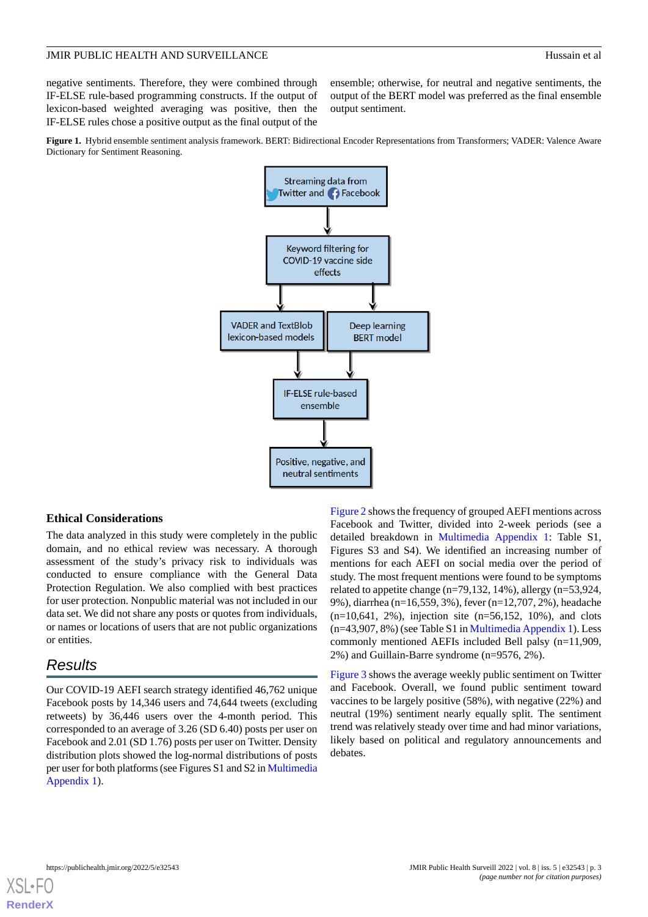negative sentiments. Therefore, they were combined through IF-ELSE rule-based programming constructs. If the output of lexicon-based weighted averaging was positive, then the IF-ELSE rules chose a positive output as the final output of the

ensemble; otherwise, for neutral and negative sentiments, the output of the BERT model was preferred as the final ensemble output sentiment.

<span id="page-2-0"></span>**Figure 1.** Hybrid ensemble sentiment analysis framework. BERT: Bidirectional Encoder Representations from Transformers; VADER: Valence Aware Dictionary for Sentiment Reasoning.



## **Ethical Considerations**

The data analyzed in this study were completely in the public domain, and no ethical review was necessary. A thorough assessment of the study's privacy risk to individuals was conducted to ensure compliance with the General Data Protection Regulation. We also complied with best practices for user protection. Nonpublic material was not included in our data set. We did not share any posts or quotes from individuals, or names or locations of users that are not public organizations or entities.

## *Results*

Our COVID-19 AEFI search strategy identified 46,762 unique Facebook posts by 14,346 users and 74,644 tweets (excluding retweets) by 36,446 users over the 4-month period. This corresponded to an average of 3.26 (SD 6.40) posts per user on Facebook and 2.01 (SD 1.76) posts per user on Twitter. Density distribution plots showed the log-normal distributions of posts per user for both platforms (see Figures S1 and S2 in [Multimedia](#page-5-1) [Appendix 1\)](#page-5-1).

[Figure 2](#page-3-0) shows the frequency of grouped AEFI mentions across Facebook and Twitter, divided into 2-week periods (see a detailed breakdown in [Multimedia Appendix 1](#page-5-1): Table S1, Figures S3 and S4). We identified an increasing number of mentions for each AEFI on social media over the period of study. The most frequent mentions were found to be symptoms related to appetite change (n=79,132, 14%), allergy (n=53,924, 9%), diarrhea (n=16,559, 3%), fever (n=12,707, 2%), headache (n=10,641, 2%), injection site (n=56,152, 10%), and clots (n=43,907, 8%) (see Table S1 in [Multimedia Appendix 1\)](#page-5-1). Less commonly mentioned AEFIs included Bell palsy (n=11,909, 2%) and Guillain-Barre syndrome (n=9576, 2%).

[Figure 3](#page-4-0) shows the average weekly public sentiment on Twitter and Facebook. Overall, we found public sentiment toward vaccines to be largely positive (58%), with negative (22%) and neutral (19%) sentiment nearly equally split. The sentiment trend was relatively steady over time and had minor variations, likely based on political and regulatory announcements and debates.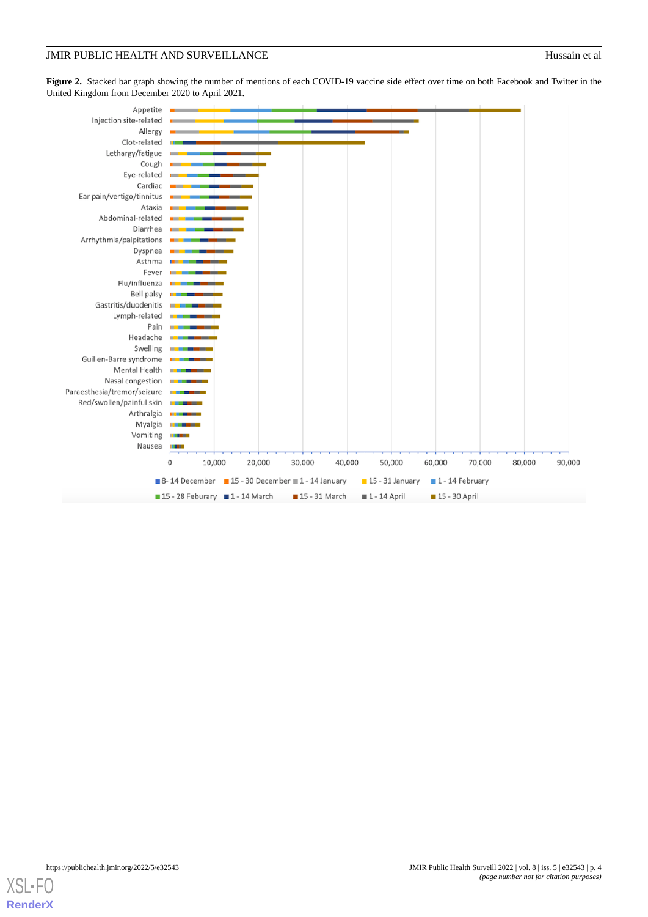<span id="page-3-0"></span>Figure 2. Stacked bar graph showing the number of mentions of each COVID-19 vaccine side effect over time on both Facebook and Twitter in the United Kingdom from December 2020 to April 2021.



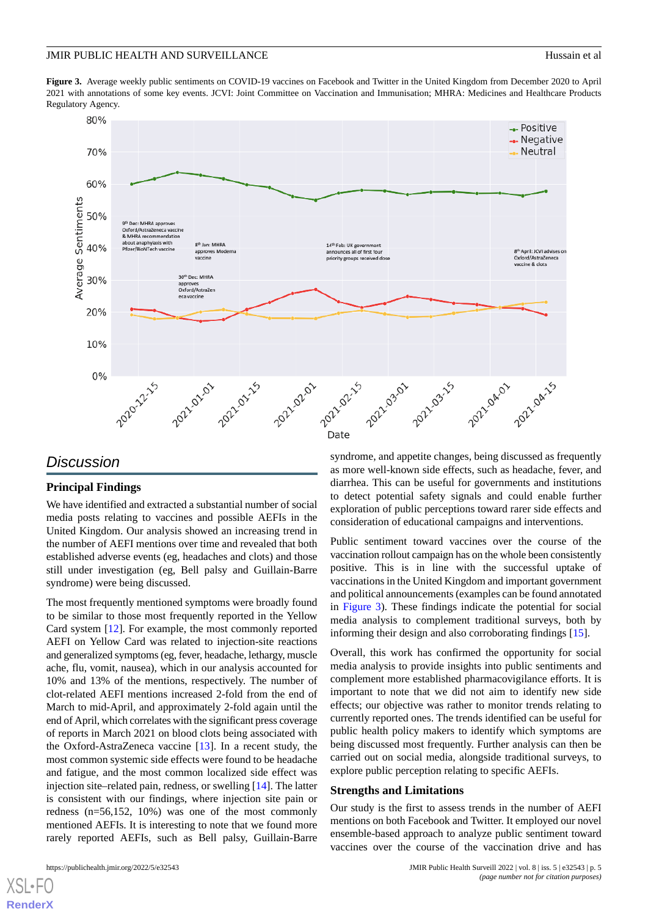<span id="page-4-0"></span>**Figure 3.** Average weekly public sentiments on COVID-19 vaccines on Facebook and Twitter in the United Kingdom from December 2020 to April 2021 with annotations of some key events. JCVI: Joint Committee on Vaccination and Immunisation; MHRA: Medicines and Healthcare Products Regulatory Agency.



## *Discussion*

## **Principal Findings**

We have identified and extracted a substantial number of social media posts relating to vaccines and possible AEFIs in the United Kingdom. Our analysis showed an increasing trend in the number of AEFI mentions over time and revealed that both established adverse events (eg, headaches and clots) and those still under investigation (eg, Bell palsy and Guillain-Barre syndrome) were being discussed.

The most frequently mentioned symptoms were broadly found to be similar to those most frequently reported in the Yellow Card system [\[12](#page-6-9)]. For example, the most commonly reported AEFI on Yellow Card was related to injection-site reactions and generalized symptoms (eg, fever, headache, lethargy, muscle ache, flu, vomit, nausea), which in our analysis accounted for 10% and 13% of the mentions, respectively. The number of clot-related AEFI mentions increased 2-fold from the end of March to mid-April, and approximately 2-fold again until the end of April, which correlates with the significant press coverage of reports in March 2021 on blood clots being associated with the Oxford-AstraZeneca vaccine [\[13](#page-6-10)]. In a recent study, the most common systemic side effects were found to be headache and fatigue, and the most common localized side effect was injection site–related pain, redness, or swelling [\[14](#page-6-11)]. The latter is consistent with our findings, where injection site pain or redness (n=56,152, 10%) was one of the most commonly mentioned AEFIs. It is interesting to note that we found more rarely reported AEFIs, such as Bell palsy, Guillain-Barre

syndrome, and appetite changes, being discussed as frequently as more well-known side effects, such as headache, fever, and diarrhea. This can be useful for governments and institutions to detect potential safety signals and could enable further exploration of public perceptions toward rarer side effects and consideration of educational campaigns and interventions.

Public sentiment toward vaccines over the course of the vaccination rollout campaign has on the whole been consistently positive. This is in line with the successful uptake of vaccinations in the United Kingdom and important government and political announcements (examples can be found annotated in [Figure 3](#page-4-0)). These findings indicate the potential for social media analysis to complement traditional surveys, both by informing their design and also corroborating findings [\[15](#page-6-12)].

Overall, this work has confirmed the opportunity for social media analysis to provide insights into public sentiments and complement more established pharmacovigilance efforts. It is important to note that we did not aim to identify new side effects; our objective was rather to monitor trends relating to currently reported ones. The trends identified can be useful for public health policy makers to identify which symptoms are being discussed most frequently. Further analysis can then be carried out on social media, alongside traditional surveys, to explore public perception relating to specific AEFIs.

#### **Strengths and Limitations**

Our study is the first to assess trends in the number of AEFI mentions on both Facebook and Twitter. It employed our novel ensemble-based approach to analyze public sentiment toward vaccines over the course of the vaccination drive and has

 $XS$  • F( **[RenderX](http://www.renderx.com/)**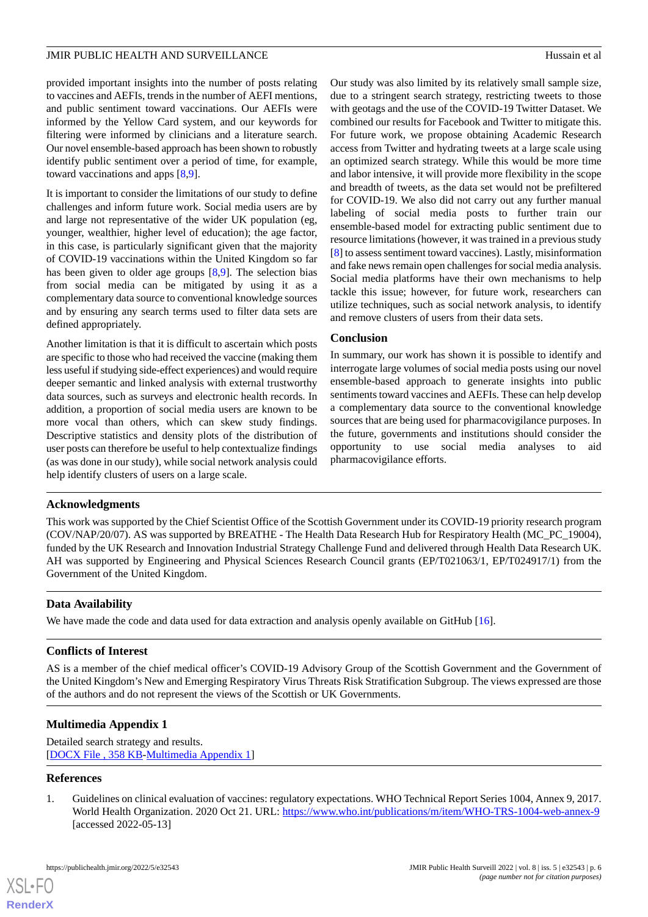provided important insights into the number of posts relating to vaccines and AEFIs, trends in the number of AEFI mentions, and public sentiment toward vaccinations. Our AEFIs were informed by the Yellow Card system, and our keywords for filtering were informed by clinicians and a literature search. Our novel ensemble-based approach has been shown to robustly identify public sentiment over a period of time, for example, toward vaccinations and apps [[8](#page-6-13)[,9](#page-6-6)].

It is important to consider the limitations of our study to define challenges and inform future work. Social media users are by and large not representative of the wider UK population (eg, younger, wealthier, higher level of education); the age factor, in this case, is particularly significant given that the majority of COVID-19 vaccinations within the United Kingdom so far has been given to older age groups [\[8](#page-6-13),[9\]](#page-6-6). The selection bias from social media can be mitigated by using it as a complementary data source to conventional knowledge sources and by ensuring any search terms used to filter data sets are defined appropriately.

Another limitation is that it is difficult to ascertain which posts are specific to those who had received the vaccine (making them less useful if studying side-effect experiences) and would require deeper semantic and linked analysis with external trustworthy data sources, such as surveys and electronic health records. In addition, a proportion of social media users are known to be more vocal than others, which can skew study findings. Descriptive statistics and density plots of the distribution of user posts can therefore be useful to help contextualize findings (as was done in our study), while social network analysis could help identify clusters of users on a large scale.

Our study was also limited by its relatively small sample size, due to a stringent search strategy, restricting tweets to those with geotags and the use of the COVID-19 Twitter Dataset. We combined our results for Facebook and Twitter to mitigate this. For future work, we propose obtaining Academic Research access from Twitter and hydrating tweets at a large scale using an optimized search strategy. While this would be more time and labor intensive, it will provide more flexibility in the scope and breadth of tweets, as the data set would not be prefiltered for COVID-19. We also did not carry out any further manual labeling of social media posts to further train our ensemble-based model for extracting public sentiment due to resource limitations (however, it was trained in a previous study [[8\]](#page-6-13) to assess sentiment toward vaccines). Lastly, misinformation and fake news remain open challenges for social media analysis. Social media platforms have their own mechanisms to help tackle this issue; however, for future work, researchers can utilize techniques, such as social network analysis, to identify and remove clusters of users from their data sets.

## **Conclusion**

In summary, our work has shown it is possible to identify and interrogate large volumes of social media posts using our novel ensemble-based approach to generate insights into public sentiments toward vaccines and AEFIs. These can help develop a complementary data source to the conventional knowledge sources that are being used for pharmacovigilance purposes. In the future, governments and institutions should consider the opportunity to use social media analyses to aid pharmacovigilance efforts.

## **Acknowledgments**

This work was supported by the Chief Scientist Office of the Scottish Government under its COVID-19 priority research program (COV/NAP/20/07). AS was supported by BREATHE - The Health Data Research Hub for Respiratory Health (MC\_PC\_19004), funded by the UK Research and Innovation Industrial Strategy Challenge Fund and delivered through Health Data Research UK. AH was supported by Engineering and Physical Sciences Research Council grants (EP/T021063/1, EP/T024917/1) from the Government of the United Kingdom.

## **Data Availability**

We have made the code and data used for data extraction and analysis openly available on GitHub [[16\]](#page-6-14).

## <span id="page-5-1"></span>**Conflicts of Interest**

AS is a member of the chief medical officer's COVID-19 Advisory Group of the Scottish Government and the Government of the United Kingdom's New and Emerging Respiratory Virus Threats Risk Stratification Subgroup. The views expressed are those of the authors and do not represent the views of the Scottish or UK Governments.

## <span id="page-5-0"></span>**Multimedia Appendix 1**

Detailed search strategy and results. [[DOCX File , 358 KB-Multimedia Appendix 1\]](https://jmir.org/api/download?alt_name=publichealth_v8i5e32543_app1.docx&filename=71435fc905f1bd95ca6e2b9d9e06fe97.docx)

## **References**

[XSL](http://www.w3.org/Style/XSL)•FO **[RenderX](http://www.renderx.com/)**

1. Guidelines on clinical evaluation of vaccines: regulatory expectations. WHO Technical Report Series 1004, Annex 9, 2017. World Health Organization. 2020 Oct 21. URL: <https://www.who.int/publications/m/item/WHO-TRS-1004-web-annex-9> [accessed 2022-05-13]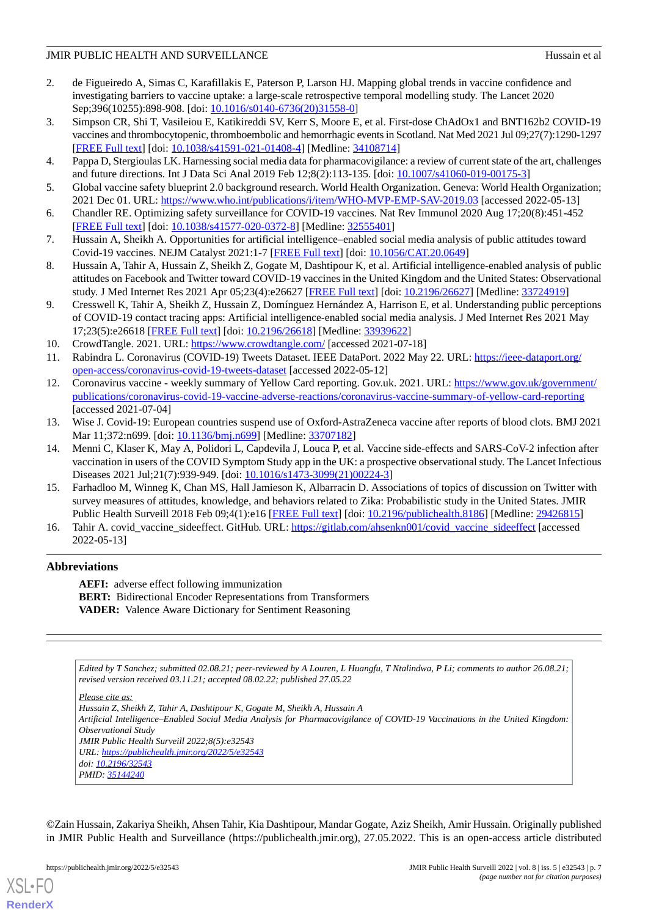- <span id="page-6-0"></span>2. de Figueiredo A, Simas C, Karafillakis E, Paterson P, Larson HJ. Mapping global trends in vaccine confidence and investigating barriers to vaccine uptake: a large-scale retrospective temporal modelling study. The Lancet 2020 Sep;396(10255):898-908. [doi: [10.1016/s0140-6736\(20\)31558-0\]](http://dx.doi.org/10.1016/s0140-6736(20)31558-0)
- <span id="page-6-1"></span>3. Simpson CR, Shi T, Vasileiou E, Katikireddi SV, Kerr S, Moore E, et al. First-dose ChAdOx1 and BNT162b2 COVID-19 vaccines and thrombocytopenic, thromboembolic and hemorrhagic events in Scotland. Nat Med 2021 Jul 09;27(7):1290-1297 [[FREE Full text](http://europepmc.org/abstract/MED/34108714)] [doi: [10.1038/s41591-021-01408-4\]](http://dx.doi.org/10.1038/s41591-021-01408-4) [Medline: [34108714](http://www.ncbi.nlm.nih.gov/entrez/query.fcgi?cmd=Retrieve&db=PubMed&list_uids=34108714&dopt=Abstract)]
- <span id="page-6-3"></span><span id="page-6-2"></span>4. Pappa D, Stergioulas LK. Harnessing social media data for pharmacovigilance: a review of current state of the art, challenges and future directions. Int J Data Sci Anal 2019 Feb 12;8(2):113-135. [doi: [10.1007/s41060-019-00175-3\]](http://dx.doi.org/10.1007/s41060-019-00175-3)
- <span id="page-6-4"></span>5. Global vaccine safety blueprint 2.0 background research. World Health Organization. Geneva: World Health Organization; 2021 Dec 01. URL: <https://www.who.int/publications/i/item/WHO-MVP-EMP-SAV-2019.03> [accessed 2022-05-13]
- <span id="page-6-5"></span>6. Chandler RE. Optimizing safety surveillance for COVID-19 vaccines. Nat Rev Immunol 2020 Aug 17;20(8):451-452 [[FREE Full text](http://europepmc.org/abstract/MED/32555401)] [doi: [10.1038/s41577-020-0372-8\]](http://dx.doi.org/10.1038/s41577-020-0372-8) [Medline: [32555401](http://www.ncbi.nlm.nih.gov/entrez/query.fcgi?cmd=Retrieve&db=PubMed&list_uids=32555401&dopt=Abstract)]
- <span id="page-6-13"></span>7. Hussain A, Sheikh A. Opportunities for artificial intelligence–enabled social media analysis of public attitudes toward Covid-19 vaccines. NEJM Catalyst 2021:1-7 [[FREE Full text](https://catalyst.nejm.org/doi/pdf/10.1056/CAT.20.0649)] [doi: [10.1056/CAT.20.0649\]](http://dx.doi.org/10.1056/CAT.20.0649)
- <span id="page-6-6"></span>8. Hussain A, Tahir A, Hussain Z, Sheikh Z, Gogate M, Dashtipour K, et al. Artificial intelligence-enabled analysis of public attitudes on Facebook and Twitter toward COVID-19 vaccines in the United Kingdom and the United States: Observational study. J Med Internet Res 2021 Apr 05;23(4):e26627 [[FREE Full text](https://www.jmir.org/2021/4/e26627/)] [doi: [10.2196/26627\]](http://dx.doi.org/10.2196/26627) [Medline: [33724919\]](http://www.ncbi.nlm.nih.gov/entrez/query.fcgi?cmd=Retrieve&db=PubMed&list_uids=33724919&dopt=Abstract)
- <span id="page-6-8"></span><span id="page-6-7"></span>9. Cresswell K, Tahir A, Sheikh Z, Hussain Z, Domínguez Hernández A, Harrison E, et al. Understanding public perceptions of COVID-19 contact tracing apps: Artificial intelligence-enabled social media analysis. J Med Internet Res 2021 May 17;23(5):e26618 [\[FREE Full text](https://www.jmir.org/2021/5/e26618/)] [doi: [10.2196/26618\]](http://dx.doi.org/10.2196/26618) [Medline: [33939622\]](http://www.ncbi.nlm.nih.gov/entrez/query.fcgi?cmd=Retrieve&db=PubMed&list_uids=33939622&dopt=Abstract)
- <span id="page-6-9"></span>10. CrowdTangle. 2021. URL: <https://www.crowdtangle.com/> [accessed 2021-07-18]
- 11. Rabindra L. Coronavirus (COVID-19) Tweets Dataset. IEEE DataPort. 2022 May 22. URL: [https://ieee-dataport.org/](https://ieee-dataport.org/open-access/coronavirus-covid-19-tweets-dataset) [open-access/coronavirus-covid-19-tweets-dataset](https://ieee-dataport.org/open-access/coronavirus-covid-19-tweets-dataset) [accessed 2022-05-12]
- <span id="page-6-10"></span>12. Coronavirus vaccine - weekly summary of Yellow Card reporting. Gov.uk. 2021. URL: [https://www.gov.uk/government/](https://www.gov.uk/government/publications/coronavirus-covid-19-vaccine-adverse-reactions/coronavirus-vaccine-summary-of-yellow-card-reporting) [publications/coronavirus-covid-19-vaccine-adverse-reactions/coronavirus-vaccine-summary-of-yellow-card-reporting](https://www.gov.uk/government/publications/coronavirus-covid-19-vaccine-adverse-reactions/coronavirus-vaccine-summary-of-yellow-card-reporting) [accessed 2021-07-04]
- <span id="page-6-11"></span>13. Wise J. Covid-19: European countries suspend use of Oxford-AstraZeneca vaccine after reports of blood clots. BMJ 2021 Mar 11;372:n699. [doi: [10.1136/bmj.n699\]](http://dx.doi.org/10.1136/bmj.n699) [Medline: [33707182\]](http://www.ncbi.nlm.nih.gov/entrez/query.fcgi?cmd=Retrieve&db=PubMed&list_uids=33707182&dopt=Abstract)
- <span id="page-6-12"></span>14. Menni C, Klaser K, May A, Polidori L, Capdevila J, Louca P, et al. Vaccine side-effects and SARS-CoV-2 infection after vaccination in users of the COVID Symptom Study app in the UK: a prospective observational study. The Lancet Infectious Diseases 2021 Jul;21(7):939-949. [doi: [10.1016/s1473-3099\(21\)00224-3\]](http://dx.doi.org/10.1016/s1473-3099(21)00224-3)
- <span id="page-6-14"></span>15. Farhadloo M, Winneg K, Chan MS, Hall Jamieson K, Albarracin D. Associations of topics of discussion on Twitter with survey measures of attitudes, knowledge, and behaviors related to Zika: Probabilistic study in the United States. JMIR Public Health Surveill 2018 Feb 09;4(1):e16 [\[FREE Full text\]](https://publichealth.jmir.org/2018/1/e16/) [doi: [10.2196/publichealth.8186](http://dx.doi.org/10.2196/publichealth.8186)] [Medline: [29426815\]](http://www.ncbi.nlm.nih.gov/entrez/query.fcgi?cmd=Retrieve&db=PubMed&list_uids=29426815&dopt=Abstract)
- 16. Tahir A. covid\_vaccine\_sideeffect. GitHub. URL: [https://gitlab.com/ahsenkn001/covid\\_vaccine\\_sideeffect](https://gitlab.com/ahsenkn001/covid_vaccine_sideeffect) [accessed 2022-05-13]

## **Abbreviations**

**AEFI:** adverse effect following immunization **BERT:** Bidirectional Encoder Representations from Transformers **VADER:** Valence Aware Dictionary for Sentiment Reasoning

*Edited by T Sanchez; submitted 02.08.21; peer-reviewed by A Louren, L Huangfu, T Ntalindwa, P Li; comments to author 26.08.21; revised version received 03.11.21; accepted 08.02.22; published 27.05.22*

*Please cite as:*

*Hussain Z, Sheikh Z, Tahir A, Dashtipour K, Gogate M, Sheikh A, Hussain A*

*Artificial Intelligence–Enabled Social Media Analysis for Pharmacovigilance of COVID-19 Vaccinations in the United Kingdom: Observational Study*

*JMIR Public Health Surveill 2022;8(5):e32543 URL: <https://publichealth.jmir.org/2022/5/e32543>*

*PMID: [35144240](http://www.ncbi.nlm.nih.gov/entrez/query.fcgi?cmd=Retrieve&db=PubMed&list_uids=35144240&dopt=Abstract)*

©Zain Hussain, Zakariya Sheikh, Ahsen Tahir, Kia Dashtipour, Mandar Gogate, Aziz Sheikh, Amir Hussain. Originally published in JMIR Public Health and Surveillance (https://publichealth.jmir.org), 27.05.2022. This is an open-access article distributed



*doi: [10.2196/32543](http://dx.doi.org/10.2196/32543)*